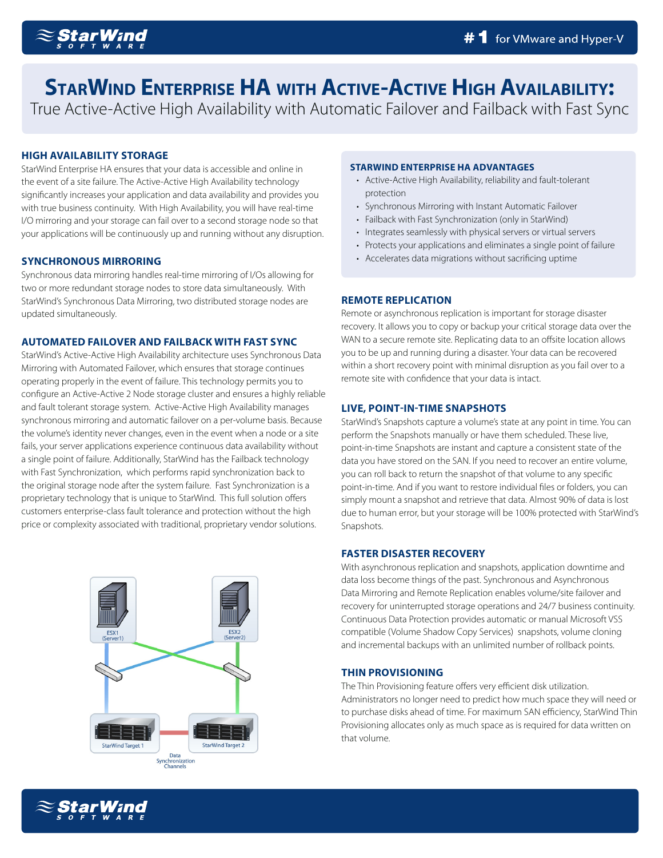

# **StarWind Enterprise HA with Active-Active High Availability:**

True Active-Active High Availability with Automatic Failover and Failback with Fast Sync

# **HIGH AVAILABILITY STORAGE**

StarWind Enterprise HA ensures that your data is accessible and online in the event of a site failure. The Active-Active High Availability technology significantly increases your application and data availability and provides you with true business continuity. With High Availability, you will have real-time I/O mirroring and your storage can fail over to a second storage node so that your applications will be continuously up and running without any disruption.

# **SYNCHRONOUS MIRRORING**

Synchronous data mirroring handles real-time mirroring of I/Os allowing for two or more redundant storage nodes to store data simultaneously. With StarWind's Synchronous Data Mirroring, two distributed storage nodes are updated simultaneously.

# **AUTOMATED FAILOVER AND FAILBACK WITH FAST SYNC**

StarWind's Active-Active High Availability architecture uses Synchronous Data Mirroring with Automated Failover, which ensures that storage continues operating properly in the event of failure. This technology permits you to configure an Active-Active 2 Node storage cluster and ensures a highly reliable and fault tolerant storage system. Active-Active High Availability manages synchronous mirroring and automatic failover on a per-volume basis. Because the volume's identity never changes, even in the event when a node or a site fails, your server applications experience continuous data availability without a single point of failure. Additionally, StarWind has the Failback technology with Fast Synchronization, which performs rapid synchronization back to the original storage node after the system failure. Fast Synchronization is a proprietary technology that is unique to StarWind. This full solution offers customers enterprise-class fault tolerance and protection without the high price or complexity associated with traditional, proprietary vendor solutions.



### **STARWIND ENTERPRISE HA ADVANTAGES**

- Active-Active High Availability, reliability and fault-tolerant protection
- Synchronous Mirroring with Instant Automatic Failover
- Failback with Fast Synchronization (only in StarWind)
- Integrates seamlessly with physical servers or virtual servers
- Protects your applications and eliminates a single point of failure
- Accelerates data migrations without sacrificing uptime

### **REMOTE REPLICATION**

Remote or asynchronous replication is important for storage disaster recovery. It allows you to copy or backup your critical storage data over the WAN to a secure remote site. Replicating data to an offsite location allows you to be up and running during a disaster. Your data can be recovered within a short recovery point with minimal disruption as you fail over to a remote site with confidence that your data is intact.

# **LIVE, POINT-IN-TIME SNAPSHOTS**

StarWind's Snapshots capture a volume's state at any point in time. You can perform the Snapshots manually or have them scheduled. These live, point-in-time Snapshots are instant and capture a consistent state of the data you have stored on the SAN. If you need to recover an entire volume, you can roll back to return the snapshot of that volume to any specific point-in-time. And if you want to restore individual files or folders, you can simply mount a snapshot and retrieve that data. Almost 90% of data is lost due to human error, but your storage will be 100% protected with StarWind's Snapshots.

# **FASTER DISASTER RECOVERY**

With asynchronous replication and snapshots, application downtime and data loss become things of the past. Synchronous and Asynchronous Data Mirroring and Remote Replication enables volume/site failover and recovery for uninterrupted storage operations and 24/7 business continuity. Continuous Data Protection provides automatic or manual Microsoft VSS compatible (Volume Shadow Copy Services) snapshots, volume cloning and incremental backups with an unlimited number of rollback points.

# **THIN PROVISIONING**

The Thin Provisioning feature offers very efficient disk utilization. Administrators no longer need to predict how much space they will need or to purchase disks ahead of time. For maximum SAN efficiency, StarWind Thin Provisioning allocates only as much space as is required for data written on that volume.